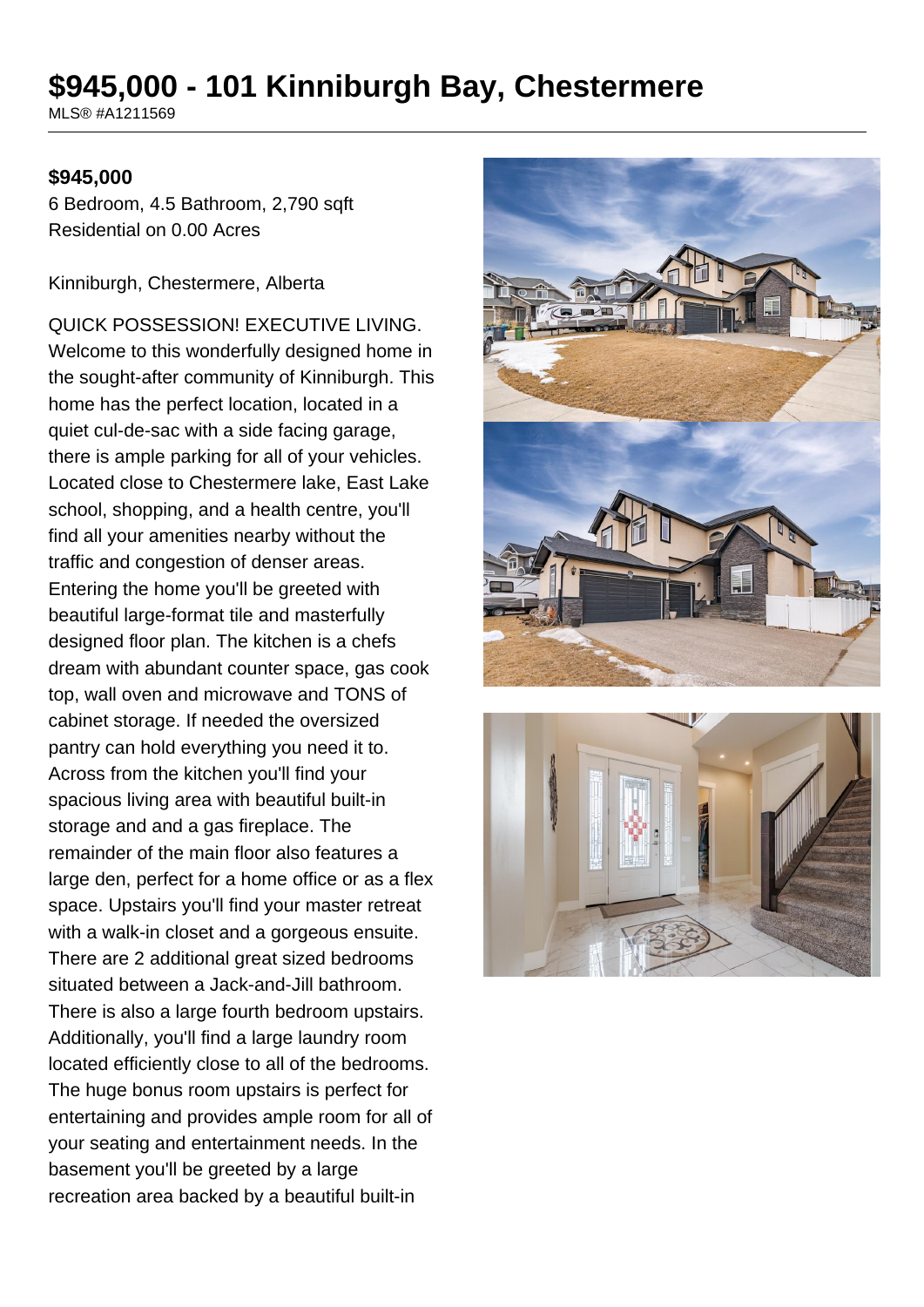# **\$945,000 - 101 Kinniburgh Bay, Chestermere**

MLS® #A1211569

#### **\$945,000**

6 Bedroom, 4.5 Bathroom, 2,790 sqft Residential on 0.00 Acres

Kinniburgh, Chestermere, Alberta

QUICK POSSESSION! EXECUTIVE LIVING. Welcome to this wonderfully designed home in the sought-after community of Kinniburgh. This home has the perfect location, located in a quiet cul-de-sac with a side facing garage, there is ample parking for all of your vehicles. Located close to Chestermere lake, East Lake school, shopping, and a health centre, you'll find all your amenities nearby without the traffic and congestion of denser areas. Entering the home you'll be greeted with beautiful large-format tile and masterfully designed floor plan. The kitchen is a chefs dream with abundant counter space, gas cook top, wall oven and microwave and TONS of cabinet storage. If needed the oversized pantry can hold everything you need it to. Across from the kitchen you'll find your spacious living area with beautiful built-in storage and and a gas fireplace. The remainder of the main floor also features a large den, perfect for a home office or as a flex space. Upstairs you'll find your master retreat with a walk-in closet and a gorgeous ensuite. There are 2 additional great sized bedrooms situated between a Jack-and-Jill bathroom. There is also a large fourth bedroom upstairs. Additionally, you'll find a large laundry room located efficiently close to all of the bedrooms. The huge bonus room upstairs is perfect for entertaining and provides ample room for all of your seating and entertainment needs. In the basement you'll be greeted by a large recreation area backed by a beautiful built-in



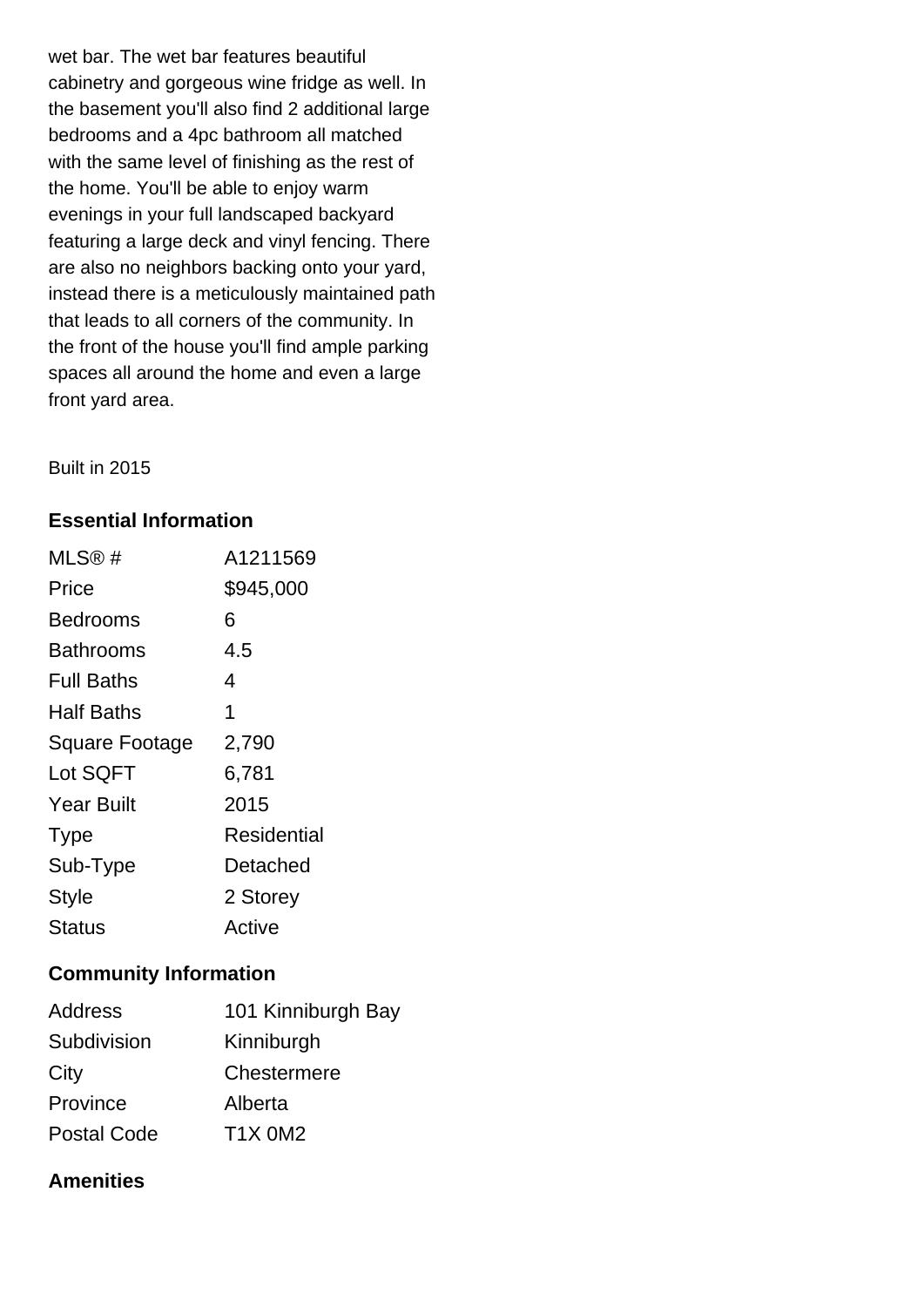wet bar. The wet bar features beautiful cabinetry and gorgeous wine fridge as well. In the basement you'll also find 2 additional large bedrooms and a 4pc bathroom all matched with the same level of finishing as the rest of the home. You'll be able to enjoy warm evenings in your full landscaped backyard featuring a large deck and vinyl fencing. There are also no neighbors backing onto your yard, instead there is a meticulously maintained path that leads to all corners of the community. In the front of the house you'll find ample parking spaces all around the home and even a large front yard area.

Built in 2015

#### **Essential Information**

| MLS@#                 | A1211569    |
|-----------------------|-------------|
| Price                 | \$945,000   |
| Bedrooms              | 6           |
| Bathrooms             | 4.5         |
| Full Baths            | 4           |
| Half Baths            | 1           |
| <b>Square Footage</b> | 2,790       |
| Lot SQFT              | 6,781       |
| <b>Year Built</b>     | 2015        |
| <b>Type</b>           | Residential |
| Sub-Type              | Detached    |
| <b>Style</b>          | 2 Storey    |
| Status                | Active      |

#### **Community Information**

| <b>Address</b>     | 101 Kinniburgh Bay |
|--------------------|--------------------|
| Subdivision        | Kinniburgh         |
| City               | Chestermere        |
| Province           | Alberta            |
| <b>Postal Code</b> | <b>T1X 0M2</b>     |

### **Amenities**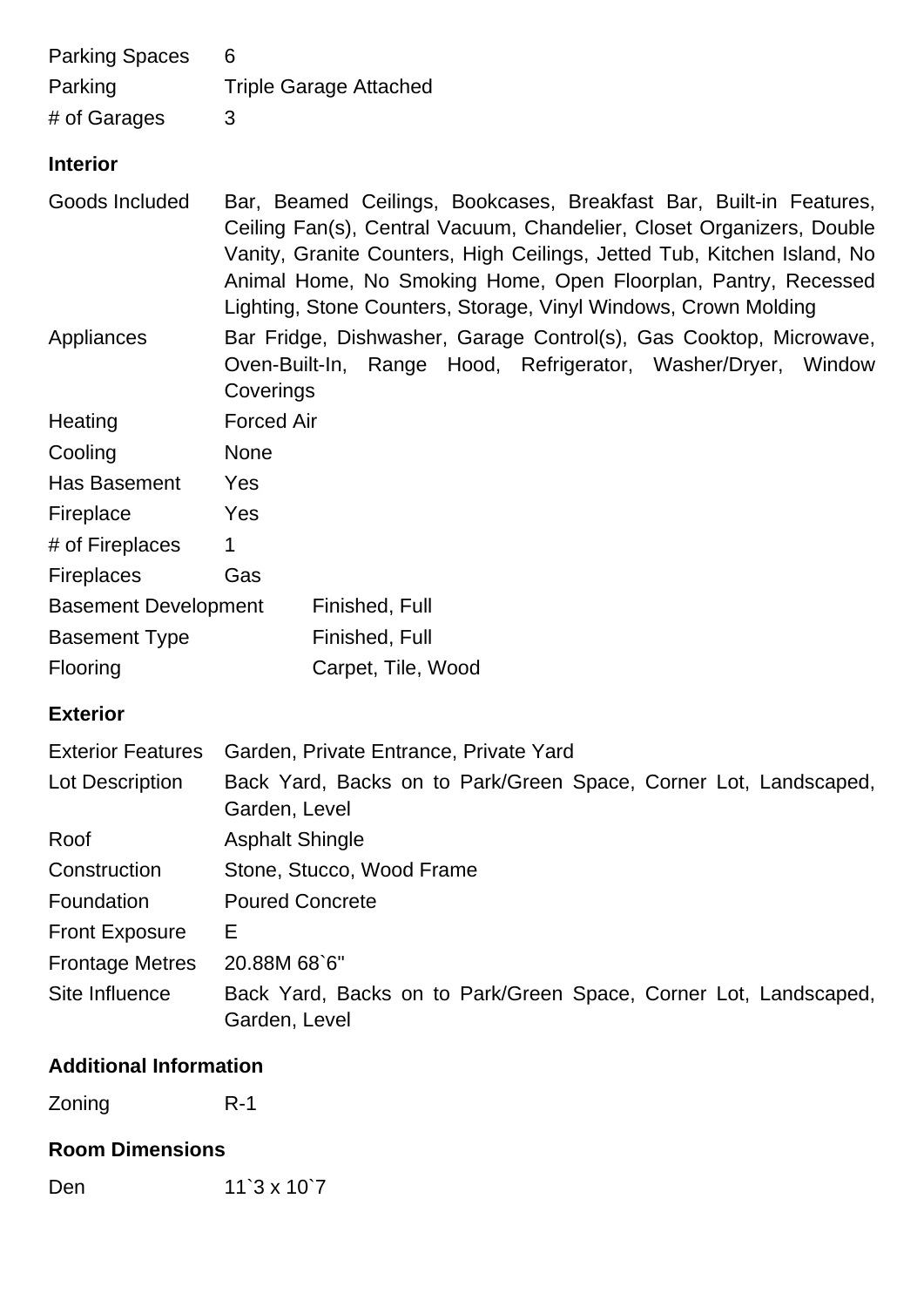| <b>Parking Spaces</b><br>Parking              | 6<br><b>Triple Garage Attached</b>                                                                                                                                                                                                                                                                                                                          |  |  |
|-----------------------------------------------|-------------------------------------------------------------------------------------------------------------------------------------------------------------------------------------------------------------------------------------------------------------------------------------------------------------------------------------------------------------|--|--|
| # of Garages                                  | 3                                                                                                                                                                                                                                                                                                                                                           |  |  |
| <b>Interior</b>                               |                                                                                                                                                                                                                                                                                                                                                             |  |  |
| Goods Included                                | Bar, Beamed Ceilings, Bookcases, Breakfast Bar, Built-in Features,<br>Ceiling Fan(s), Central Vacuum, Chandelier, Closet Organizers, Double<br>Vanity, Granite Counters, High Ceilings, Jetted Tub, Kitchen Island, No<br>Animal Home, No Smoking Home, Open Floorplan, Pantry, Recessed<br>Lighting, Stone Counters, Storage, Vinyl Windows, Crown Molding |  |  |
| Appliances                                    | Bar Fridge, Dishwasher, Garage Control(s), Gas Cooktop, Microwave,<br>Oven-Built-In, Range Hood, Refrigerator, Washer/Dryer, Window<br>Coverings                                                                                                                                                                                                            |  |  |
| Heating                                       | <b>Forced Air</b>                                                                                                                                                                                                                                                                                                                                           |  |  |
| Cooling                                       | <b>None</b>                                                                                                                                                                                                                                                                                                                                                 |  |  |
| Has Basement                                  | Yes                                                                                                                                                                                                                                                                                                                                                         |  |  |
| Fireplace                                     | Yes                                                                                                                                                                                                                                                                                                                                                         |  |  |
| # of Fireplaces                               | 1                                                                                                                                                                                                                                                                                                                                                           |  |  |
| <b>Fireplaces</b>                             | Gas                                                                                                                                                                                                                                                                                                                                                         |  |  |
| <b>Basement Development</b><br>Finished, Full |                                                                                                                                                                                                                                                                                                                                                             |  |  |
| <b>Basement Type</b>                          | Finished, Full                                                                                                                                                                                                                                                                                                                                              |  |  |
| Flooring                                      | Carpet, Tile, Wood                                                                                                                                                                                                                                                                                                                                          |  |  |
| <b>Exterior</b>                               |                                                                                                                                                                                                                                                                                                                                                             |  |  |
| <b>Exterior Features</b>                      | Garden, Private Entrance, Private Yard                                                                                                                                                                                                                                                                                                                      |  |  |
| Lot Description                               | Back Yard, Backs on to Park/Green Space, Corner Lot, Landscaped,<br>Garden, Level                                                                                                                                                                                                                                                                           |  |  |
| Roof                                          | <b>Asphalt Shingle</b>                                                                                                                                                                                                                                                                                                                                      |  |  |
| Construction                                  | Stone, Stucco, Wood Frame                                                                                                                                                                                                                                                                                                                                   |  |  |

Foundation Poured Concrete

Front Exposure E

Frontage Metres 20.88M 68`6" Site Influence Back Yard, Backs on to Park/Green Space, Corner Lot, Landscaped, Garden, Level

## **Additional Information**

Zoning R-1

**Room Dimensions**

Den 11`3 x 10`7